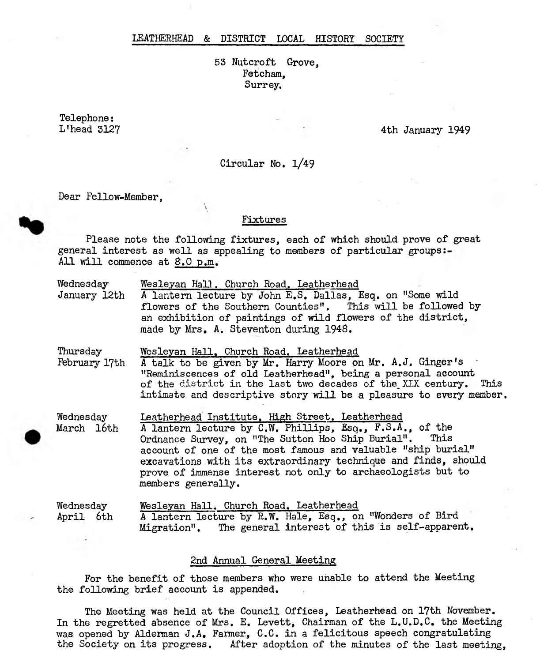**LEATHERHEAD & DISTRICT LOCAL HISTORY SOCIETY**

**53 Nutcroft Grove, Fetcham, Surrey.**

**Telephone:**

**L'head 3127 4th January 1949**

**Circular No. l/49**

**Dear Fellow-Member,**

**Fixtures**

**Please note the following fixtures, each of which should prove of great general interest as well as appealing to members of particular groups All will commence at 8.0 p.m.**

| Wednesday<br>January 12th | Wesleyan Hall, Church Road, Leatherhead<br>A lantern lecture by John E.S. Dallas, Esq. on "Some wild<br>flowers of the Southern Counties". This will be followed by<br>an exhibition of paintings of wild flowers of the district,<br>made by Mrs. A. Steventon during 1948.                                                                                                                 |
|---------------------------|----------------------------------------------------------------------------------------------------------------------------------------------------------------------------------------------------------------------------------------------------------------------------------------------------------------------------------------------------------------------------------------------|
| Thursday<br>February 17th | Wesleyan Hall. Church Road. Leatherhead<br>A talk to be given by Mr. Harry Moore on Mr. A.J. Ginger's<br>"Reminiscences of old Leatherhead", being a personal account<br>of the district in the last two decades of the XIX century. This<br>intimate and descriptive story will be a pleasure to every member.                                                                              |
| Wednesday<br>March 16th   | Leatherhead Institute. High Street. Leatherhead<br>A lantern lecture by C.W. Phillips, Esq., F.S.A., of the<br>Ordnance Survey, on "The Sutton Hoo Ship Burial". This<br>account of one of the most famous and valuable "ship burial"<br>excavations with its extraordinary technique and finds, should<br>prove of immense interest not only to archaeologists but to<br>members generally. |
| Wednesday                 | Wesleyan Hall, Church Road, Leatherhead                                                                                                                                                                                                                                                                                                                                                      |
| April 6th                 | A lantern lecture by R.W. Hale, Esq., on "Wonders of Bird                                                                                                                                                                                                                                                                                                                                    |

A lantern lecture by R.W. Hale, Esq., on "Wonders of **Migration". The general interest of this is self-apparent.**

## **2nd Annual General Meeting**

**For the benefit of those members who were unable to attend the Meeting the following brief account is appended.**

**The Meeting was held at the Council Offices, Leatherhead on 17th November. In the regretted absence of Mrs. E. Levett, Chairman of the L.U.D.C. the Meeting was opened by Alderman J.A. Farmer, C.C. in a felicitous speech congratulating the Society on its progress. After adoption of the minutes of the last meeting,**